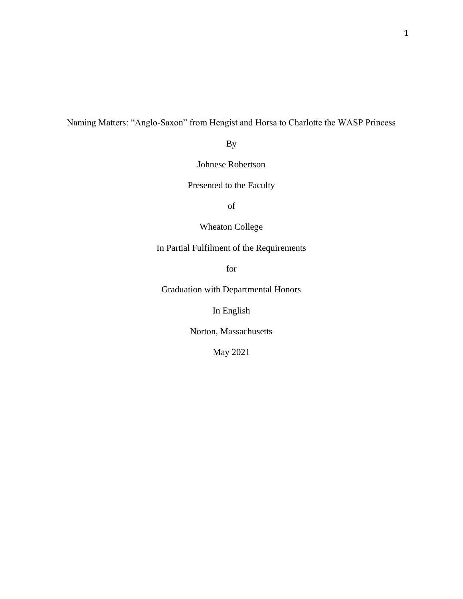# Naming Matters: "Anglo-Saxon" from Hengist and Horsa to Charlotte the WASP Princess

By

Johnese Robertson

Presented to the Faculty

of

Wheaton College

In Partial Fulfilment of the Requirements

for

Graduation with Departmental Honors

In English

Norton, Massachusetts

May 2021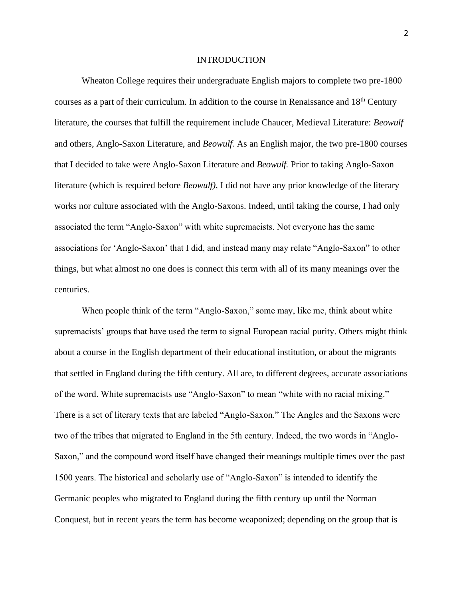#### INTRODUCTION

Wheaton College requires their undergraduate English majors to complete two pre-1800 courses as a part of their curriculum. In addition to the course in Renaissance and 18<sup>th</sup> Century literature, the courses that fulfill the requirement include Chaucer, Medieval Literature: *Beowulf* and others, Anglo-Saxon Literature, and *Beowulf.* As an English major, the two pre-1800 courses that I decided to take were Anglo-Saxon Literature and *Beowulf.* Prior to taking Anglo-Saxon literature (which is required before *Beowulf)*, I did not have any prior knowledge of the literary works nor culture associated with the Anglo-Saxons. Indeed, until taking the course, I had only associated the term "Anglo-Saxon" with white supremacists. Not everyone has the same associations for 'Anglo-Saxon' that I did, and instead many may relate "Anglo-Saxon" to other things, but what almost no one does is connect this term with all of its many meanings over the centuries.

When people think of the term "Anglo-Saxon," some may, like me, think about white supremacists' groups that have used the term to signal European racial purity. Others might think about a course in the English department of their educational institution, or about the migrants that settled in England during the fifth century. All are, to different degrees, accurate associations of the word. White supremacists use "Anglo-Saxon" to mean "white with no racial mixing." There is a set of literary texts that are labeled "Anglo-Saxon." The Angles and the Saxons were two of the tribes that migrated to England in the 5th century. Indeed, the two words in "Anglo-Saxon," and the compound word itself have changed their meanings multiple times over the past 1500 years. The historical and scholarly use of "Anglo-Saxon" is intended to identify the Germanic peoples who migrated to England during the fifth century up until the Norman Conquest, but in recent years the term has become weaponized; depending on the group that is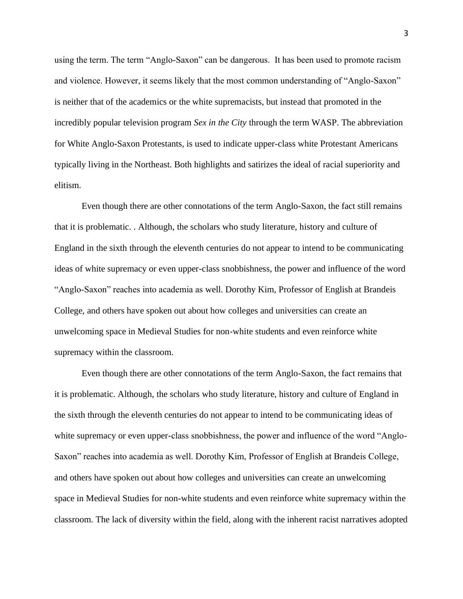using the term. The term "Anglo-Saxon" can be dangerous. It has been used to promote racism and violence. However, it seems likely that the most common understanding of "Anglo-Saxon" is neither that of the academics or the white supremacists, but instead that promoted in the incredibly popular television program *Sex in the City* through the term WASP. The abbreviation for White Anglo-Saxon Protestants, is used to indicate upper-class white Protestant Americans typically living in the Northeast. Both highlights and satirizes the ideal of racial superiority and elitism.

Even though there are other connotations of the term Anglo-Saxon, the fact still remains that it is problematic. . Although, the scholars who study literature, history and culture of England in the sixth through the eleventh centuries do not appear to intend to be communicating ideas of white supremacy or even upper-class snobbishness, the power and influence of the word "Anglo-Saxon" reaches into academia as well. Dorothy Kim, Professor of English at Brandeis College, and others have spoken out about how colleges and universities can create an unwelcoming space in Medieval Studies for non-white students and even reinforce white supremacy within the classroom.

Even though there are other connotations of the term Anglo-Saxon, the fact remains that it is problematic. Although, the scholars who study literature, history and culture of England in the sixth through the eleventh centuries do not appear to intend to be communicating ideas of white supremacy or even upper-class snobbishness, the power and influence of the word "Anglo-Saxon" reaches into academia as well. Dorothy Kim, Professor of English at Brandeis College, and others have spoken out about how colleges and universities can create an unwelcoming space in Medieval Studies for non-white students and even reinforce white supremacy within the classroom. The lack of diversity within the field, along with the inherent racist narratives adopted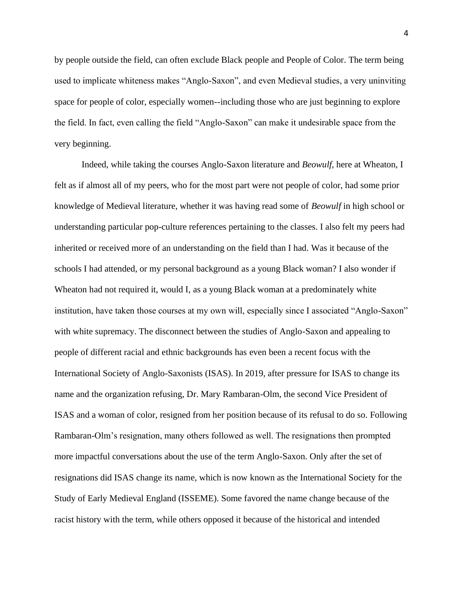by people outside the field, can often exclude Black people and People of Color. The term being used to implicate whiteness makes "Anglo-Saxon", and even Medieval studies, a very uninviting space for people of color, especially women--including those who are just beginning to explore the field. In fact, even calling the field "Anglo-Saxon" can make it undesirable space from the very beginning.

Indeed, while taking the courses Anglo-Saxon literature and *Beowulf*, here at Wheaton, I felt as if almost all of my peers, who for the most part were not people of color, had some prior knowledge of Medieval literature, whether it was having read some of *Beowulf* in high school or understanding particular pop-culture references pertaining to the classes. I also felt my peers had inherited or received more of an understanding on the field than I had. Was it because of the schools I had attended, or my personal background as a young Black woman? I also wonder if Wheaton had not required it, would I, as a young Black woman at a predominately white institution, have taken those courses at my own will, especially since I associated "Anglo-Saxon" with white supremacy. The disconnect between the studies of Anglo-Saxon and appealing to people of different racial and ethnic backgrounds has even been a recent focus with the International Society of Anglo-Saxonists (ISAS). In 2019, after pressure for ISAS to change its name and the organization refusing, Dr. Mary Rambaran-Olm, the second Vice President of ISAS and a woman of color, resigned from her position because of its refusal to do so. Following Rambaran-Olm's resignation, many others followed as well. The resignations then prompted more impactful conversations about the use of the term Anglo-Saxon. Only after the set of resignations did ISAS change its name, which is now known as the International Society for the Study of Early Medieval England (ISSEME). Some favored the name change because of the racist history with the term, while others opposed it because of the historical and intended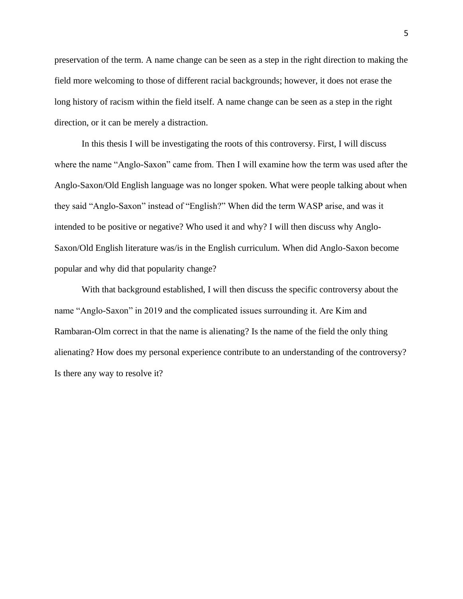preservation of the term. A name change can be seen as a step in the right direction to making the field more welcoming to those of different racial backgrounds; however, it does not erase the long history of racism within the field itself. A name change can be seen as a step in the right direction, or it can be merely a distraction.

In this thesis I will be investigating the roots of this controversy. First, I will discuss where the name "Anglo-Saxon" came from. Then I will examine how the term was used after the Anglo-Saxon/Old English language was no longer spoken. What were people talking about when they said "Anglo-Saxon" instead of "English?" When did the term WASP arise, and was it intended to be positive or negative? Who used it and why? I will then discuss why Anglo-Saxon/Old English literature was/is in the English curriculum. When did Anglo-Saxon become popular and why did that popularity change?

With that background established, I will then discuss the specific controversy about the name "Anglo-Saxon" in 2019 and the complicated issues surrounding it. Are Kim and Rambaran-Olm correct in that the name is alienating? Is the name of the field the only thing alienating? How does my personal experience contribute to an understanding of the controversy? Is there any way to resolve it?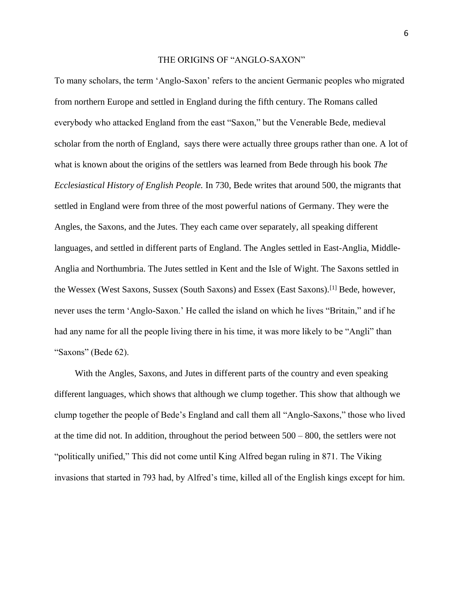#### THE ORIGINS OF "ANGLO-SAXON"

To many scholars, the term 'Anglo-Saxon' refers to the ancient Germanic peoples who migrated from northern Europe and settled in England during the fifth century. The Romans called everybody who attacked England from the east "Saxon," but the Venerable Bede, medieval scholar from the north of England, says there were actually three groups rather than one. A lot of what is known about the origins of the settlers was learned from Bede through his book *The Ecclesiastical History of English People.* In 730, Bede writes that around 500, the migrants that settled in England were from three of the most powerful nations of Germany. They were the Angles, the Saxons, and the Jutes. They each came over separately, all speaking different languages, and settled in different parts of England. The Angles settled in East-Anglia, Middle-Anglia and Northumbria. The Jutes settled in Kent and the Isle of Wight. The Saxons settled in the Wessex (West Saxons, Sussex (South Saxons) and Essex (East Saxons).[1] Bede, however, never uses the term 'Anglo-Saxon.' He called the island on which he lives "Britain," and if he had any name for all the people living there in his time, it was more likely to be "Angli" than "Saxons" (Bede 62).

 With the Angles, Saxons, and Jutes in different parts of the country and even speaking different languages, which shows that although we clump together. This show that although we clump together the people of Bede's England and call them all "Anglo-Saxons," those who lived at the time did not. In addition, throughout the period between 500 – 800, the settlers were not "politically unified," This did not come until King Alfred began ruling in 871. The Viking invasions that started in 793 had, by Alfred's time, killed all of the English kings except for him.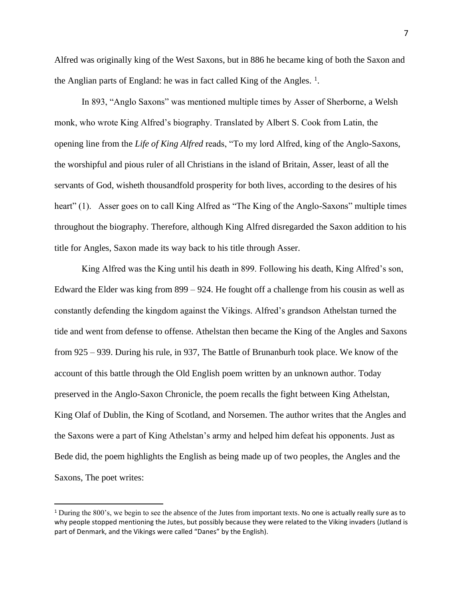Alfred was originally king of the West Saxons, but in 886 he became king of both the Saxon and the Anglian parts of England: he was in fact called King of the Angles.<sup>1</sup>.

In 893, "Anglo Saxons" was mentioned multiple times by Asser of Sherborne, a Welsh monk, who wrote King Alfred's biography. Translated by Albert S. Cook from Latin, the opening line from the *Life of King Alfred* reads, "To my lord Alfred, king of the Anglo-Saxons, the worshipful and pious ruler of all Christians in the island of Britain, Asser, least of all the servants of God, wisheth thousandfold prosperity for both lives, according to the desires of his heart" (1). Asser goes on to call King Alfred as "The King of the Anglo-Saxons" multiple times throughout the biography. Therefore, although King Alfred disregarded the Saxon addition to his title for Angles, Saxon made its way back to his title through Asser.

King Alfred was the King until his death in 899. Following his death, King Alfred's son, Edward the Elder was king from 899 – 924. He fought off a challenge from his cousin as well as constantly defending the kingdom against the Vikings. Alfred's grandson Athelstan turned the tide and went from defense to offense. Athelstan then became the King of the Angles and Saxons from 925 – 939. During his rule, in 937, The Battle of Brunanburh took place. We know of the account of this battle through the Old English poem written by an unknown author. Today preserved in the Anglo-Saxon Chronicle, the poem recalls the fight between King Athelstan, King Olaf of Dublin, the King of Scotland, and Norsemen. The author writes that the Angles and the Saxons were a part of King Athelstan's army and helped him defeat his opponents. Just as Bede did, the poem highlights the English as being made up of two peoples, the Angles and the Saxons, The poet writes:

<sup>1</sup> During the 800's, we begin to see the absence of the Jutes from important texts. No one is actually really sure as to why people stopped mentioning the Jutes, but possibly because they were related to the Viking invaders (Jutland is part of Denmark, and the Vikings were called "Danes" by the English).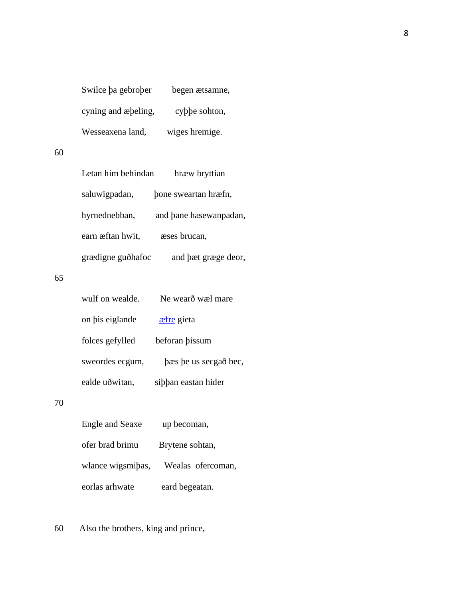| Swilce ba gebrober  | begen ætsamne, |
|---------------------|----------------|
| cyning and appling, | cyppe sohton,  |
| Wesseaxena land,    | wiges hremige. |

# 60

| Letan him behindan | hræw bryttian          |
|--------------------|------------------------|
| saluwigpadan,      | bone sweartan hræfn,   |
| hyrnednebban,      | and bane hasewanpadan, |
| earn æftan hwit,   | æses brucan,           |
| grædigne guðhafoc  | and bæt græge deor,    |

# 65

| wulf on wealde. | Ne wearð wæl mare     |
|-----------------|-----------------------|
| on bis eiglande | <b>a</b> efre gieta   |
| folces gefylled | beforan bissum        |
| sweordes ecgum, | bæs be us secgað bec, |
| ealde uð witan, | sibban eastan hider   |

### 70

| Engle and Seaxe   | up becoman,        |
|-------------------|--------------------|
| ofer brad brimu   | Brytene sohtan,    |
| wlance wigsmibas, | Wealas of ercoman, |
| eorlas arhwate    | eard begeatan.     |

60 Also the brothers, king and prince,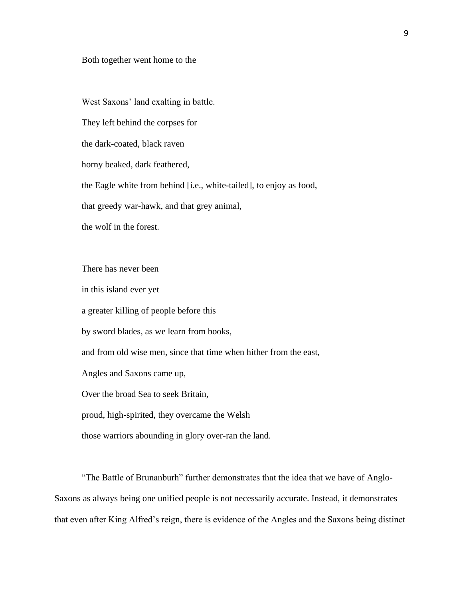#### Both together went home to the

West Saxons' land exalting in battle.

They left behind the corpses for

the dark-coated, black raven

horny beaked, dark feathered,

the Eagle white from behind [i.e., white-tailed], to enjoy as food,

that greedy war-hawk, and that grey animal,

the wolf in the forest.

There has never been

in this island ever yet

a greater killing of people before this

by sword blades, as we learn from books,

and from old wise men, since that time when hither from the east,

Angles and Saxons came up,

Over the broad Sea to seek Britain,

proud, high-spirited, they overcame the Welsh

those warriors abounding in glory over-ran the land.

"The Battle of Brunanburh" further demonstrates that the idea that we have of Anglo-Saxons as always being one unified people is not necessarily accurate. Instead, it demonstrates that even after King Alfred's reign, there is evidence of the Angles and the Saxons being distinct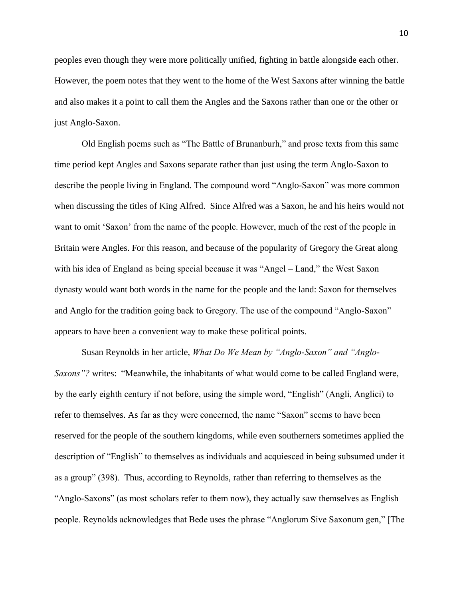peoples even though they were more politically unified, fighting in battle alongside each other. However, the poem notes that they went to the home of the West Saxons after winning the battle and also makes it a point to call them the Angles and the Saxons rather than one or the other or just Anglo-Saxon.

Old English poems such as "The Battle of Brunanburh," and prose texts from this same time period kept Angles and Saxons separate rather than just using the term Anglo-Saxon to describe the people living in England. The compound word "Anglo-Saxon" was more common when discussing the titles of King Alfred. Since Alfred was a Saxon, he and his heirs would not want to omit 'Saxon' from the name of the people. However, much of the rest of the people in Britain were Angles. For this reason, and because of the popularity of Gregory the Great along with his idea of England as being special because it was "Angel – Land," the West Saxon dynasty would want both words in the name for the people and the land: Saxon for themselves and Anglo for the tradition going back to Gregory. The use of the compound "Anglo-Saxon" appears to have been a convenient way to make these political points.

Susan Reynolds in her article, *What Do We Mean by "Anglo-Saxon" and "Anglo-Saxons"?* writes: "Meanwhile, the inhabitants of what would come to be called England were, by the early eighth century if not before, using the simple word, "English" (Angli, Anglici) to refer to themselves. As far as they were concerned, the name "Saxon" seems to have been reserved for the people of the southern kingdoms, while even southerners sometimes applied the description of "English" to themselves as individuals and acquiesced in being subsumed under it as a group" (398). Thus, according to Reynolds, rather than referring to themselves as the "Anglo-Saxons" (as most scholars refer to them now), they actually saw themselves as English people. Reynolds acknowledges that Bede uses the phrase "Anglorum Sive Saxonum gen," [The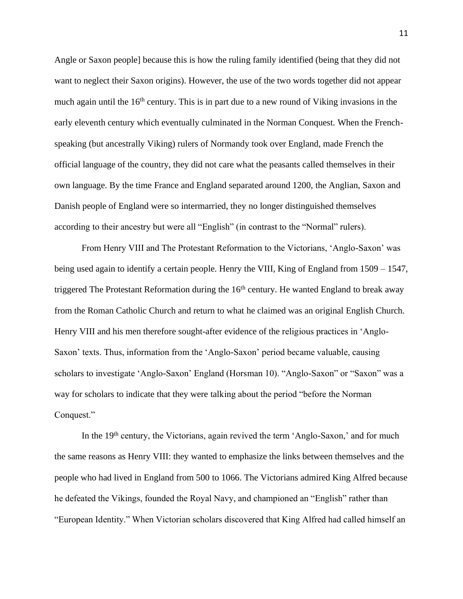Angle or Saxon people] because this is how the ruling family identified (being that they did not want to neglect their Saxon origins). However, the use of the two words together did not appear much again until the  $16<sup>th</sup>$  century. This is in part due to a new round of Viking invasions in the early eleventh century which eventually culminated in the Norman Conquest. When the Frenchspeaking (but ancestrally Viking) rulers of Normandy took over England, made French the official language of the country, they did not care what the peasants called themselves in their own language. By the time France and England separated around 1200, the Anglian, Saxon and Danish people of England were so intermarried, they no longer distinguished themselves according to their ancestry but were all "English" (in contrast to the "Normal" rulers).

From Henry VIII and The Protestant Reformation to the Victorians, 'Anglo-Saxon' was being used again to identify a certain people. Henry the VIII, King of England from 1509 – 1547, triggered The Protestant Reformation during the  $16<sup>th</sup>$  century. He wanted England to break away from the Roman Catholic Church and return to what he claimed was an original English Church. Henry VIII and his men therefore sought-after evidence of the religious practices in 'Anglo-Saxon' texts. Thus, information from the 'Anglo-Saxon' period became valuable, causing scholars to investigate 'Anglo-Saxon' England (Horsman 10). "Anglo-Saxon" or "Saxon" was a way for scholars to indicate that they were talking about the period "before the Norman Conquest."

In the 19<sup>th</sup> century, the Victorians, again revived the term 'Anglo-Saxon,' and for much the same reasons as Henry VIII: they wanted to emphasize the links between themselves and the people who had lived in England from 500 to 1066. The Victorians admired King Alfred because he defeated the Vikings, founded the Royal Navy, and championed an "English" rather than "European Identity." When Victorian scholars discovered that King Alfred had called himself an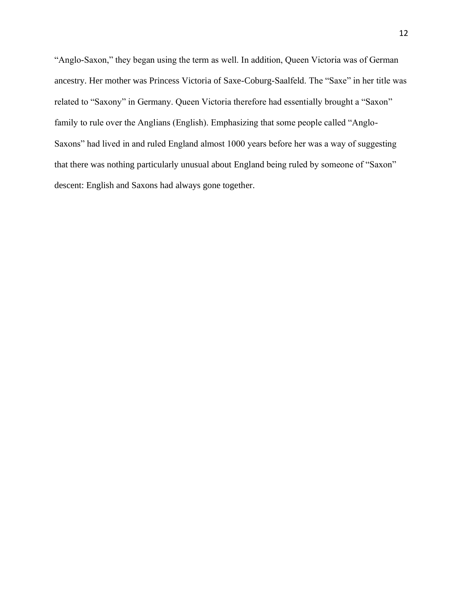"Anglo-Saxon," they began using the term as well. In addition, Queen Victoria was of German ancestry. Her mother was Princess Victoria of Saxe-Coburg-Saalfeld. The "Saxe" in her title was related to "Saxony" in Germany. Queen Victoria therefore had essentially brought a "Saxon" family to rule over the Anglians (English). Emphasizing that some people called "Anglo-Saxons" had lived in and ruled England almost 1000 years before her was a way of suggesting that there was nothing particularly unusual about England being ruled by someone of "Saxon" descent: English and Saxons had always gone together.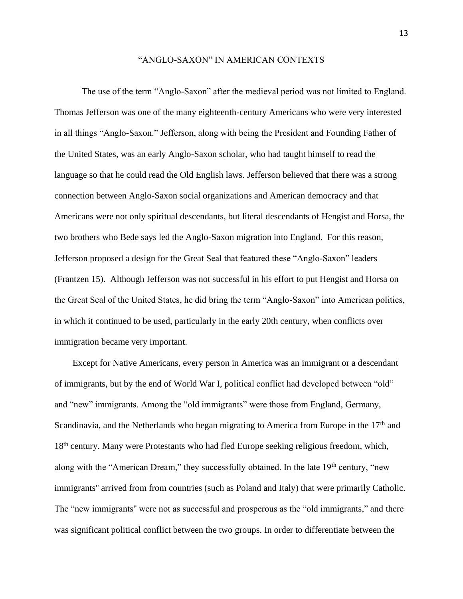#### "ANGLO-SAXON" IN AMERICAN CONTEXTS

The use of the term "Anglo-Saxon" after the medieval period was not limited to England. Thomas Jefferson was one of the many eighteenth-century Americans who were very interested in all things "Anglo-Saxon." Jefferson, along with being the President and Founding Father of the United States, was an early Anglo-Saxon scholar, who had taught himself to read the language so that he could read the Old English laws. Jefferson believed that there was a strong connection between Anglo-Saxon social organizations and American democracy and that Americans were not only spiritual descendants, but literal descendants of Hengist and Horsa, the two brothers who Bede says led the Anglo-Saxon migration into England. For this reason, Jefferson proposed a design for the Great Seal that featured these "Anglo-Saxon" leaders (Frantzen 15). Although Jefferson was not successful in his effort to put Hengist and Horsa on the Great Seal of the United States, he did bring the term "Anglo-Saxon" into American politics, in which it continued to be used, particularly in the early 20th century, when conflicts over immigration became very important.

 Except for Native Americans, every person in America was an immigrant or a descendant of immigrants, but by the end of World War I, political conflict had developed between "old" and "new" immigrants. Among the "old immigrants" were those from England, Germany, Scandinavia, and the Netherlands who began migrating to America from Europe in the  $17<sup>th</sup>$  and 18<sup>th</sup> century. Many were Protestants who had fled Europe seeking religious freedom, which, along with the "American Dream," they successfully obtained. In the late  $19<sup>th</sup>$  century, "new immigrants'' arrived from from countries (such as Poland and Italy) that were primarily Catholic. The "new immigrants'' were not as successful and prosperous as the "old immigrants," and there was significant political conflict between the two groups. In order to differentiate between the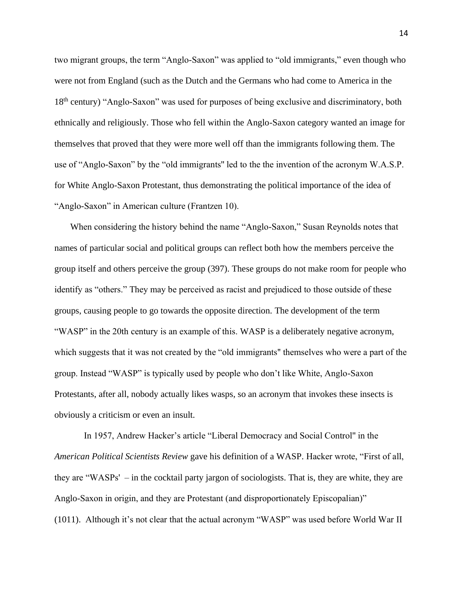two migrant groups, the term "Anglo-Saxon" was applied to "old immigrants," even though who were not from England (such as the Dutch and the Germans who had come to America in the 18th century) "Anglo-Saxon" was used for purposes of being exclusive and discriminatory, both ethnically and religiously. Those who fell within the Anglo-Saxon category wanted an image for themselves that proved that they were more well off than the immigrants following them. The use of "Anglo-Saxon" by the "old immigrants'' led to the the invention of the acronym W.A.S.P. for White Anglo-Saxon Protestant, thus demonstrating the political importance of the idea of "Anglo-Saxon" in American culture (Frantzen 10).

 When considering the history behind the name "Anglo-Saxon," Susan Reynolds notes that names of particular social and political groups can reflect both how the members perceive the group itself and others perceive the group (397). These groups do not make room for people who identify as "others." They may be perceived as racist and prejudiced to those outside of these groups, causing people to go towards the opposite direction. The development of the term "WASP" in the 20th century is an example of this. WASP is a deliberately negative acronym, which suggests that it was not created by the "old immigrants'' themselves who were a part of the group. Instead "WASP" is typically used by people who don't like White, Anglo-Saxon Protestants, after all, nobody actually likes wasps, so an acronym that invokes these insects is obviously a criticism or even an insult.

In 1957, Andrew Hacker's article "Liberal Democracy and Social Control'' in the *American Political Scientists Review* gave his definition of a WASP. Hacker wrote, "First of all, they are "WASPs' – in the cocktail party jargon of sociologists. That is, they are white, they are Anglo-Saxon in origin, and they are Protestant (and disproportionately Episcopalian)" (1011). Although it's not clear that the actual acronym "WASP" was used before World War II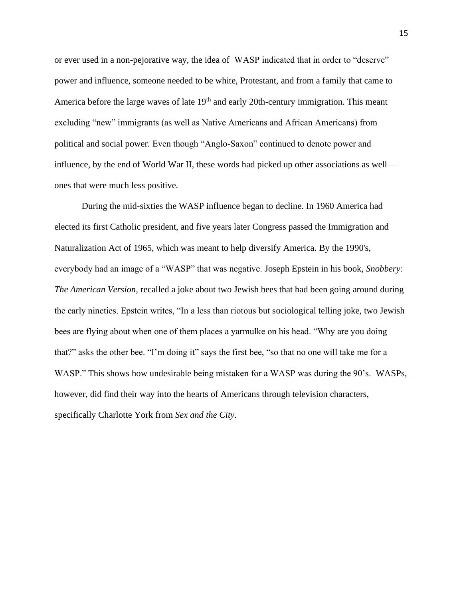or ever used in a non-pejorative way, the idea of WASP indicated that in order to "deserve" power and influence, someone needed to be white, Protestant, and from a family that came to America before the large waves of late 19<sup>th</sup> and early 20th-century immigration. This meant excluding "new" immigrants (as well as Native Americans and African Americans) from political and social power. Even though "Anglo-Saxon" continued to denote power and influence, by the end of World War II, these words had picked up other associations as well ones that were much less positive.

During the mid-sixties the WASP influence began to decline. In 1960 America had elected its first Catholic president, and five years later Congress passed the Immigration and Naturalization Act of 1965, which was meant to help diversify America. By the 1990's, everybody had an image of a "WASP" that was negative. Joseph Epstein in his book, *Snobbery: The American Version,* recalled a joke about two Jewish bees that had been going around during the early nineties. Epstein writes, "In a less than riotous but sociological telling joke, two Jewish bees are flying about when one of them places a yarmulke on his head. "Why are you doing that?" asks the other bee. "I'm doing it" says the first bee, "so that no one will take me for a WASP." This shows how undesirable being mistaken for a WASP was during the 90's. WASPs, however, did find their way into the hearts of Americans through television characters, specifically Charlotte York from *Sex and the City*.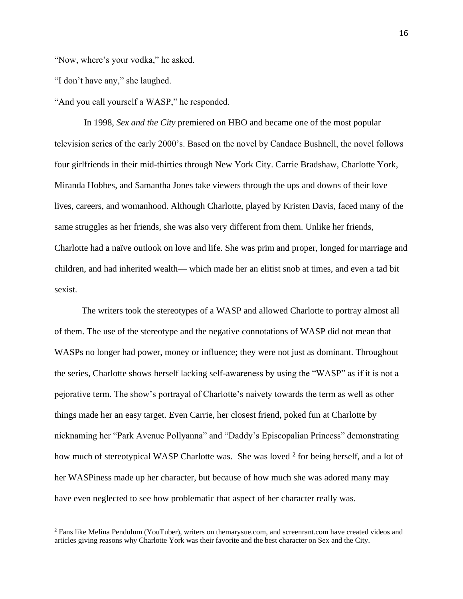"Now, where's your vodka," he asked.

"I don't have any," she laughed.

"And you call yourself a WASP," he responded.

In 1998, *Sex and the City* premiered on HBO and became one of the most popular television series of the early 2000's. Based on the novel by Candace Bushnell, the novel follows four girlfriends in their mid-thirties through New York City. Carrie Bradshaw, Charlotte York, Miranda Hobbes, and Samantha Jones take viewers through the ups and downs of their love lives, careers, and womanhood. Although Charlotte, played by Kristen Davis, faced many of the same struggles as her friends, she was also very different from them. Unlike her friends, Charlotte had a naïve outlook on love and life. She was prim and proper, longed for marriage and children, and had inherited wealth— which made her an elitist snob at times, and even a tad bit sexist.

The writers took the stereotypes of a WASP and allowed Charlotte to portray almost all of them. The use of the stereotype and the negative connotations of WASP did not mean that WASPs no longer had power, money or influence; they were not just as dominant. Throughout the series, Charlotte shows herself lacking self-awareness by using the "WASP" as if it is not a pejorative term. The show's portrayal of Charlotte's naivety towards the term as well as other things made her an easy target. Even Carrie, her closest friend, poked fun at Charlotte by nicknaming her "Park Avenue Pollyanna" and "Daddy's Episcopalian Princess" demonstrating how much of stereotypical WASP Charlotte was. She was loved <sup>2</sup> for being herself, and a lot of her WASPiness made up her character, but because of how much she was adored many may have even neglected to see how problematic that aspect of her character really was.

<sup>2</sup> Fans like Melina Pendulum (YouTuber), writers on themarysue.com, and screenrant.com have created videos and articles giving reasons why Charlotte York was their favorite and the best character on Sex and the City.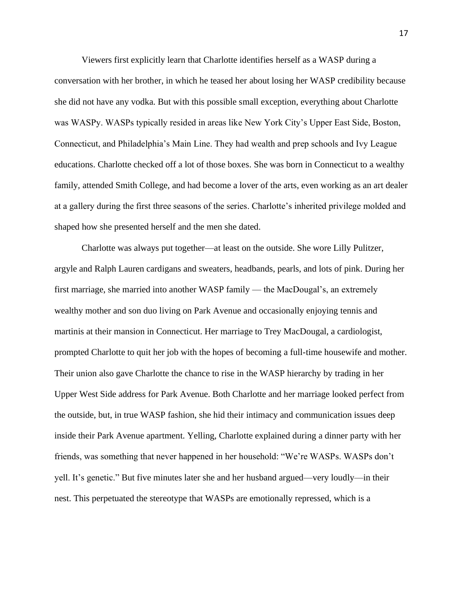Viewers first explicitly learn that Charlotte identifies herself as a WASP during a conversation with her brother, in which he teased her about losing her WASP credibility because she did not have any vodka. But with this possible small exception, everything about Charlotte was WASPy. WASPs typically resided in areas like New York City's Upper East Side, Boston, Connecticut, and Philadelphia's Main Line. They had wealth and prep schools and Ivy League educations. Charlotte checked off a lot of those boxes. She was born in Connecticut to a wealthy family, attended Smith College, and had become a lover of the arts, even working as an art dealer at a gallery during the first three seasons of the series. Charlotte's inherited privilege molded and shaped how she presented herself and the men she dated.

Charlotte was always put together—at least on the outside. She wore Lilly Pulitzer, argyle and Ralph Lauren cardigans and sweaters, headbands, pearls, and lots of pink. During her first marriage, she married into another WASP family — the MacDougal's, an extremely wealthy mother and son duo living on Park Avenue and occasionally enjoying tennis and martinis at their mansion in Connecticut. Her marriage to Trey MacDougal, a cardiologist, prompted Charlotte to quit her job with the hopes of becoming a full-time housewife and mother. Their union also gave Charlotte the chance to rise in the WASP hierarchy by trading in her Upper West Side address for Park Avenue. Both Charlotte and her marriage looked perfect from the outside, but, in true WASP fashion, she hid their intimacy and communication issues deep inside their Park Avenue apartment. Yelling, Charlotte explained during a dinner party with her friends, was something that never happened in her household: "We're WASPs. WASPs don't yell. It's genetic." But five minutes later she and her husband argued—very loudly—in their nest. This perpetuated the stereotype that WASPs are emotionally repressed, which is a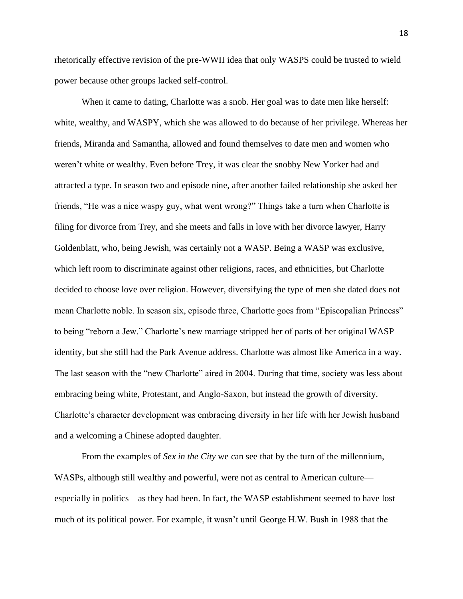rhetorically effective revision of the pre-WWII idea that only WASPS could be trusted to wield power because other groups lacked self-control.

When it came to dating, Charlotte was a snob. Her goal was to date men like herself: white, wealthy, and WASPY, which she was allowed to do because of her privilege. Whereas her friends, Miranda and Samantha, allowed and found themselves to date men and women who weren't white or wealthy. Even before Trey, it was clear the snobby New Yorker had and attracted a type. In season two and episode nine, after another failed relationship she asked her friends, "He was a nice waspy guy, what went wrong?" Things take a turn when Charlotte is filing for divorce from Trey, and she meets and falls in love with her divorce lawyer, Harry Goldenblatt, who, being Jewish, was certainly not a WASP. Being a WASP was exclusive, which left room to discriminate against other religions, races, and ethnicities, but Charlotte decided to choose love over religion. However, diversifying the type of men she dated does not mean Charlotte noble. In season six, episode three, Charlotte goes from "Episcopalian Princess" to being "reborn a Jew." Charlotte's new marriage stripped her of parts of her original WASP identity, but she still had the Park Avenue address. Charlotte was almost like America in a way. The last season with the "new Charlotte" aired in 2004. During that time, society was less about embracing being white, Protestant, and Anglo-Saxon, but instead the growth of diversity. Charlotte's character development was embracing diversity in her life with her Jewish husband and a welcoming a Chinese adopted daughter.

From the examples of *Sex in the City* we can see that by the turn of the millennium, WASPs, although still wealthy and powerful, were not as central to American culture especially in politics—as they had been. In fact, the WASP establishment seemed to have lost much of its political power. For example, it wasn't until George H.W. Bush in 1988 that the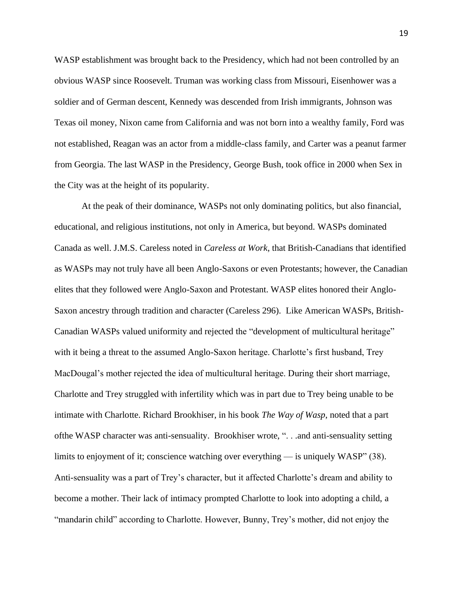WASP establishment was brought back to the Presidency, which had not been controlled by an obvious WASP since Roosevelt. Truman was working class from Missouri, Eisenhower was a soldier and of German descent, Kennedy was descended from Irish immigrants, Johnson was Texas oil money, Nixon came from California and was not born into a wealthy family, Ford was not established, Reagan was an actor from a middle-class family, and Carter was a peanut farmer from Georgia. The last WASP in the Presidency, George Bush, took office in 2000 when Sex in the City was at the height of its popularity.

At the peak of their dominance, WASPs not only dominating politics, but also financial, educational, and religious institutions, not only in America, but beyond. WASPs dominated Canada as well. J.M.S. Careless noted in *Careless at Work*, that British-Canadians that identified as WASPs may not truly have all been Anglo-Saxons or even Protestants; however, the Canadian elites that they followed were Anglo-Saxon and Protestant. WASP elites honored their Anglo-Saxon ancestry through tradition and character (Careless 296). Like American WASPs, British-Canadian WASPs valued uniformity and rejected the "development of multicultural heritage" with it being a threat to the assumed Anglo-Saxon heritage. Charlotte's first husband, Trey MacDougal's mother rejected the idea of multicultural heritage. During their short marriage, Charlotte and Trey struggled with infertility which was in part due to Trey being unable to be intimate with Charlotte. Richard Brookhiser, in his book *The Way of Wasp*, noted that a part ofthe WASP character was anti-sensuality. Brookhiser wrote, ". . .and anti-sensuality setting limits to enjoyment of it; conscience watching over everything — is uniquely WASP" (38). Anti-sensuality was a part of Trey's character, but it affected Charlotte's dream and ability to become a mother. Their lack of intimacy prompted Charlotte to look into adopting a child, a "mandarin child" according to Charlotte. However, Bunny, Trey's mother, did not enjoy the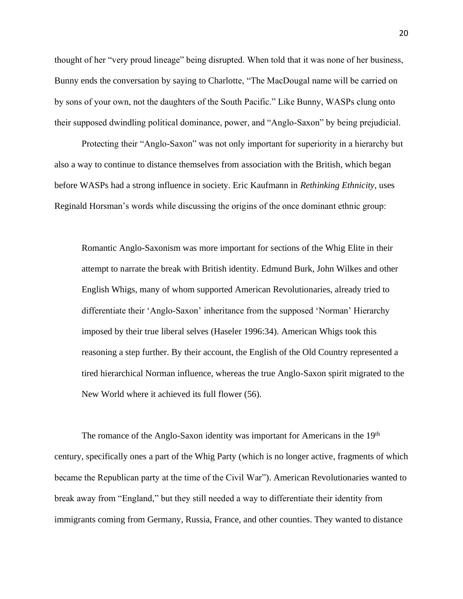thought of her "very proud lineage" being disrupted. When told that it was none of her business, Bunny ends the conversation by saying to Charlotte, "The MacDougal name will be carried on by sons of your own, not the daughters of the South Pacific." Like Bunny, WASPs clung onto their supposed dwindling political dominance, power, and "Anglo-Saxon" by being prejudicial.

Protecting their "Anglo-Saxon" was not only important for superiority in a hierarchy but also a way to continue to distance themselves from association with the British, which began before WASPs had a strong influence in society. Eric Kaufmann in *Rethinking Ethnicity*, uses Reginald Horsman's words while discussing the origins of the once dominant ethnic group:

Romantic Anglo-Saxonism was more important for sections of the Whig Elite in their attempt to narrate the break with British identity. Edmund Burk, John Wilkes and other English Whigs, many of whom supported American Revolutionaries, already tried to differentiate their 'Anglo-Saxon' inheritance from the supposed 'Norman' Hierarchy imposed by their true liberal selves (Haseler 1996:34). American Whigs took this reasoning a step further. By their account, the English of the Old Country represented a tired hierarchical Norman influence, whereas the true Anglo-Saxon spirit migrated to the New World where it achieved its full flower (56).

The romance of the Anglo-Saxon identity was important for Americans in the 19<sup>th</sup> century, specifically ones a part of the Whig Party (which is no longer active, fragments of which became the Republican party at the time of the Civil War"). American Revolutionaries wanted to break away from "England," but they still needed a way to differentiate their identity from immigrants coming from Germany, Russia, France, and other counties. They wanted to distance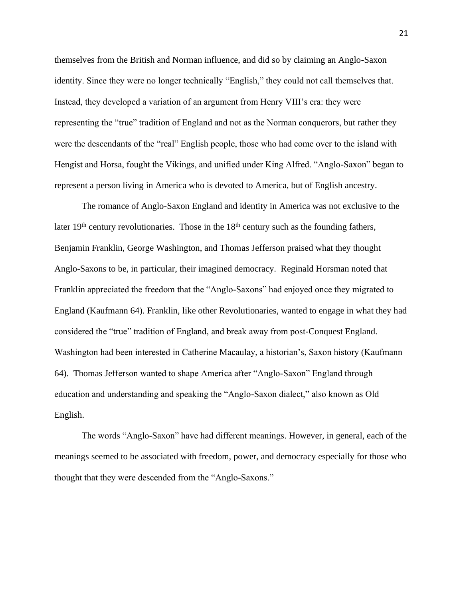themselves from the British and Norman influence, and did so by claiming an Anglo-Saxon identity. Since they were no longer technically "English," they could not call themselves that. Instead, they developed a variation of an argument from Henry VIII's era: they were representing the "true" tradition of England and not as the Norman conquerors, but rather they were the descendants of the "real" English people, those who had come over to the island with Hengist and Horsa, fought the Vikings, and unified under King Alfred. "Anglo-Saxon" began to represent a person living in America who is devoted to America, but of English ancestry.

The romance of Anglo-Saxon England and identity in America was not exclusive to the later  $19<sup>th</sup>$  century revolutionaries. Those in the  $18<sup>th</sup>$  century such as the founding fathers, Benjamin Franklin, George Washington, and Thomas Jefferson praised what they thought Anglo-Saxons to be, in particular, their imagined democracy. Reginald Horsman noted that Franklin appreciated the freedom that the "Anglo-Saxons" had enjoyed once they migrated to England (Kaufmann 64). Franklin, like other Revolutionaries, wanted to engage in what they had considered the "true" tradition of England, and break away from post-Conquest England. Washington had been interested in Catherine Macaulay, a historian's, Saxon history (Kaufmann 64). Thomas Jefferson wanted to shape America after "Anglo-Saxon" England through education and understanding and speaking the "Anglo-Saxon dialect," also known as Old English.

The words "Anglo-Saxon" have had different meanings. However, in general, each of the meanings seemed to be associated with freedom, power, and democracy especially for those who thought that they were descended from the "Anglo-Saxons."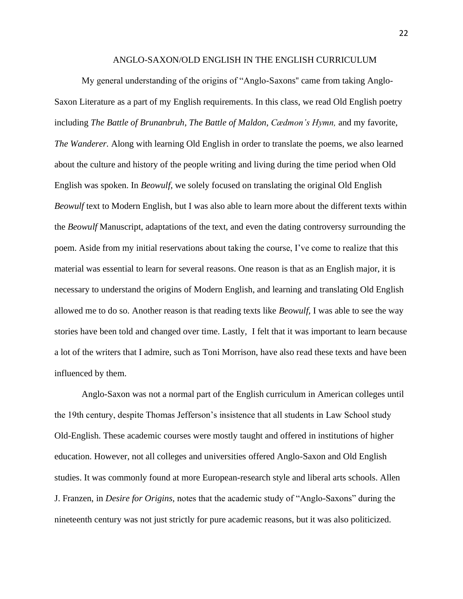#### ANGLO-SAXON/OLD ENGLISH IN THE ENGLISH CURRICULUM

My general understanding of the origins of "Anglo-Saxons'' came from taking Anglo-Saxon Literature as a part of my English requirements. In this class, we read Old English poetry including *The Battle of Brunanbruh*, *The Battle of Maldon*, *Cædmon's Hymn,* and my favorite, *The Wanderer.* Along with learning Old English in order to translate the poems, we also learned about the culture and history of the people writing and living during the time period when Old English was spoken. In *Beowulf*, we solely focused on translating the original Old English *Beowulf* text to Modern English, but I was also able to learn more about the different texts within the *Beowulf* Manuscript, adaptations of the text, and even the dating controversy surrounding the poem. Aside from my initial reservations about taking the course, I've come to realize that this material was essential to learn for several reasons. One reason is that as an English major, it is necessary to understand the origins of Modern English, and learning and translating Old English allowed me to do so. Another reason is that reading texts like *Beowulf,* I was able to see the way stories have been told and changed over time. Lastly, I felt that it was important to learn because a lot of the writers that I admire, such as Toni Morrison, have also read these texts and have been influenced by them.

Anglo-Saxon was not a normal part of the English curriculum in American colleges until the 19th century, despite Thomas Jefferson's insistence that all students in Law School study Old-English. These academic courses were mostly taught and offered in institutions of higher education. However, not all colleges and universities offered Anglo-Saxon and Old English studies. It was commonly found at more European-research style and liberal arts schools. Allen J. Franzen, in *Desire for Origins,* notes that the academic study of "Anglo-Saxons" during the nineteenth century was not just strictly for pure academic reasons, but it was also politicized.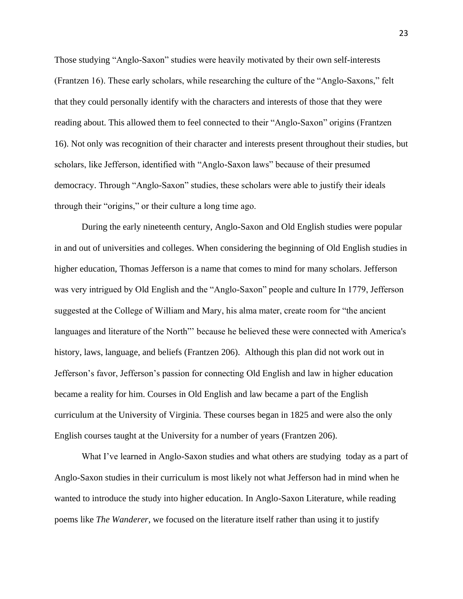Those studying "Anglo-Saxon" studies were heavily motivated by their own self-interests (Frantzen 16). These early scholars, while researching the culture of the "Anglo-Saxons," felt that they could personally identify with the characters and interests of those that they were reading about. This allowed them to feel connected to their "Anglo-Saxon" origins (Frantzen 16). Not only was recognition of their character and interests present throughout their studies, but scholars, like Jefferson, identified with "Anglo-Saxon laws" because of their presumed democracy. Through "Anglo-Saxon" studies, these scholars were able to justify their ideals through their "origins," or their culture a long time ago.

During the early nineteenth century, Anglo-Saxon and Old English studies were popular in and out of universities and colleges. When considering the beginning of Old English studies in higher education, Thomas Jefferson is a name that comes to mind for many scholars. Jefferson was very intrigued by Old English and the "Anglo-Saxon" people and culture In 1779, Jefferson suggested at the College of William and Mary, his alma mater, create room for "the ancient languages and literature of the North" because he believed these were connected with America's history, laws, language, and beliefs (Frantzen 206). Although this plan did not work out in Jefferson's favor, Jefferson's passion for connecting Old English and law in higher education became a reality for him. Courses in Old English and law became a part of the English curriculum at the University of Virginia. These courses began in 1825 and were also the only English courses taught at the University for a number of years (Frantzen 206).

What I've learned in Anglo-Saxon studies and what others are studying today as a part of Anglo-Saxon studies in their curriculum is most likely not what Jefferson had in mind when he wanted to introduce the study into higher education. In Anglo-Saxon Literature, while reading poems like *The Wanderer*, we focused on the literature itself rather than using it to justify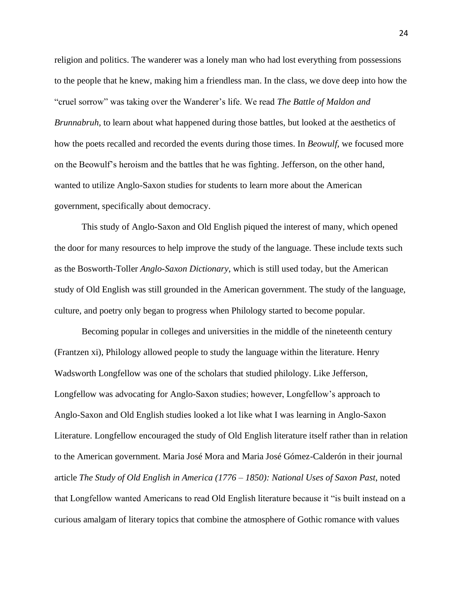religion and politics. The wanderer was a lonely man who had lost everything from possessions to the people that he knew, making him a friendless man. In the class, we dove deep into how the "cruel sorrow" was taking over the Wanderer's life. We read *The Battle of Maldon and Brunnabruh,* to learn about what happened during those battles, but looked at the aesthetics of how the poets recalled and recorded the events during those times. In *Beowulf,* we focused more on the Beowulf's heroism and the battles that he was fighting. Jefferson, on the other hand, wanted to utilize Anglo-Saxon studies for students to learn more about the American government, specifically about democracy.

This study of Anglo-Saxon and Old English piqued the interest of many, which opened the door for many resources to help improve the study of the language. These include texts such as the Bosworth-Toller *Anglo-Saxon Dictionary*, which is still used today, but the American study of Old English was still grounded in the American government. The study of the language, culture, and poetry only began to progress when Philology started to become popular.

Becoming popular in colleges and universities in the middle of the nineteenth century (Frantzen xi), Philology allowed people to study the language within the literature. Henry Wadsworth Longfellow was one of the scholars that studied philology. Like Jefferson, Longfellow was advocating for Anglo-Saxon studies; however, Longfellow's approach to Anglo-Saxon and Old English studies looked a lot like what I was learning in Anglo-Saxon Literature. Longfellow encouraged the study of Old English literature itself rather than in relation to the American government. Maria José Mora and Maria José Gómez-Calderón in their journal article *The Study of Old English in America (1776 – 1850): National Uses of Saxon Past*, noted that Longfellow wanted Americans to read Old English literature because it "is built instead on a curious amalgam of literary topics that combine the atmosphere of Gothic romance with values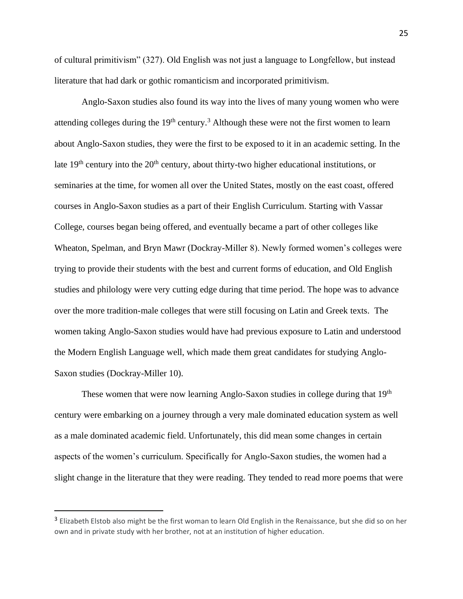of cultural primitivism" (327). Old English was not just a language to Longfellow, but instead literature that had dark or gothic romanticism and incorporated primitivism.

Anglo-Saxon studies also found its way into the lives of many young women who were attending colleges during the  $19<sup>th</sup>$  century.<sup>3</sup> Although these were not the first women to learn about Anglo-Saxon studies, they were the first to be exposed to it in an academic setting. In the late  $19<sup>th</sup>$  century into the  $20<sup>th</sup>$  century, about thirty-two higher educational institutions, or seminaries at the time, for women all over the United States, mostly on the east coast, offered courses in Anglo-Saxon studies as a part of their English Curriculum. Starting with Vassar College, courses began being offered, and eventually became a part of other colleges like Wheaton, Spelman, and Bryn Mawr (Dockray-Miller 8). Newly formed women's colleges were trying to provide their students with the best and current forms of education, and Old English studies and philology were very cutting edge during that time period. The hope was to advance over the more tradition-male colleges that were still focusing on Latin and Greek texts. The women taking Anglo-Saxon studies would have had previous exposure to Latin and understood the Modern English Language well, which made them great candidates for studying Anglo-Saxon studies (Dockray-Miller 10).

These women that were now learning Anglo-Saxon studies in college during that 19<sup>th</sup> century were embarking on a journey through a very male dominated education system as well as a male dominated academic field. Unfortunately, this did mean some changes in certain aspects of the women's curriculum. Specifically for Anglo-Saxon studies, the women had a slight change in the literature that they were reading. They tended to read more poems that were

<sup>&</sup>lt;sup>3</sup> Elizabeth Elstob also might be the first woman to learn Old English in the Renaissance, but she did so on her own and in private study with her brother, not at an institution of higher education.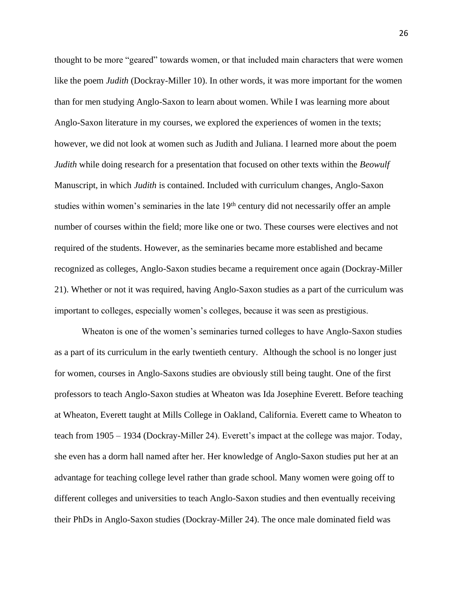thought to be more "geared" towards women, or that included main characters that were women like the poem *Judith* (Dockray-Miller 10). In other words, it was more important for the women than for men studying Anglo-Saxon to learn about women. While I was learning more about Anglo-Saxon literature in my courses, we explored the experiences of women in the texts; however, we did not look at women such as Judith and Juliana. I learned more about the poem *Judith* while doing research for a presentation that focused on other texts within the *Beowulf* Manuscript, in which *Judith* is contained. Included with curriculum changes, Anglo-Saxon studies within women's seminaries in the late 19<sup>th</sup> century did not necessarily offer an ample number of courses within the field; more like one or two. These courses were electives and not required of the students. However, as the seminaries became more established and became recognized as colleges, Anglo-Saxon studies became a requirement once again (Dockray-Miller 21). Whether or not it was required, having Anglo-Saxon studies as a part of the curriculum was important to colleges, especially women's colleges, because it was seen as prestigious.

Wheaton is one of the women's seminaries turned colleges to have Anglo-Saxon studies as a part of its curriculum in the early twentieth century. Although the school is no longer just for women, courses in Anglo-Saxons studies are obviously still being taught. One of the first professors to teach Anglo-Saxon studies at Wheaton was Ida Josephine Everett. Before teaching at Wheaton, Everett taught at Mills College in Oakland, California. Everett came to Wheaton to teach from 1905 – 1934 (Dockray-Miller 24). Everett's impact at the college was major. Today, she even has a dorm hall named after her. Her knowledge of Anglo-Saxon studies put her at an advantage for teaching college level rather than grade school. Many women were going off to different colleges and universities to teach Anglo-Saxon studies and then eventually receiving their PhDs in Anglo-Saxon studies (Dockray-Miller 24). The once male dominated field was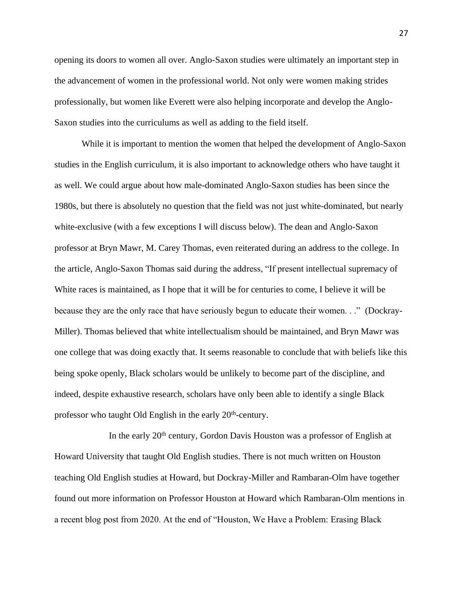opening its doors to women all over. Anglo-Saxon studies were ultimately an important step in the advancement of women in the professional world. Not only were women making strides professionally, but women like Everett were also helping incorporate and develop the Anglo-Saxon studies into the curriculums as well as adding to the field itself.

While it is important to mention the women that helped the development of Anglo-Saxon studies in the English curriculum, it is also important to acknowledge others who have taught it as well. We could argue about how male-dominated Anglo-Saxon studies has been since the 1980s, but there is absolutely no question that the field was not just white-dominated, but nearly white-exclusive (with a few exceptions I will discuss below). The dean and Anglo-Saxon professor at Bryn Mawr, M. Carey Thomas, even reiterated during an address to the college. In the article, Anglo-Saxon Thomas said during the address, "If present intellectual supremacy of White races is maintained, as I hope that it will be for centuries to come, I believe it will be because they are the only race that have seriously begun to educate their women. . ." (Dockray-Miller). Thomas believed that white intellectualism should be maintained, and Bryn Mawr was one college that was doing exactly that. It seems reasonable to conclude that with beliefs like this being spoke openly, Black scholars would be unlikely to become part of the discipline, and indeed, despite exhaustive research, scholars have only been able to identify a single Black professor who taught Old English in the early 20<sup>th</sup>-century.

In the early 20<sup>th</sup> century, Gordon Davis Houston was a professor of English at Howard University that taught Old English studies. There is not much written on Houston teaching Old English studies at Howard, but Dockray-Miller and Rambaran-Olm have together found out more information on Professor Houston at Howard which Rambaran-Olm mentions in a recent blog post from 2020. At the end of "Houston, We Have a Problem: Erasing Black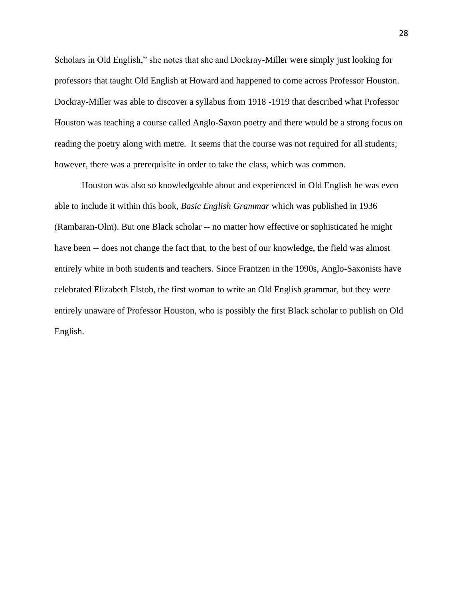Scholars in Old English," she notes that she and Dockray-Miller were simply just looking for professors that taught Old English at Howard and happened to come across Professor Houston. Dockray-Miller was able to discover a syllabus from 1918 -1919 that described what Professor Houston was teaching a course called Anglo-Saxon poetry and there would be a strong focus on reading the poetry along with metre. It seems that the course was not required for all students; however, there was a prerequisite in order to take the class, which was common.

Houston was also so knowledgeable about and experienced in Old English he was even able to include it within this book, *Basic English Grammar* which was published in 1936 (Rambaran-Olm). But one Black scholar -- no matter how effective or sophisticated he might have been -- does not change the fact that, to the best of our knowledge, the field was almost entirely white in both students and teachers. Since Frantzen in the 1990s, Anglo-Saxonists have celebrated Elizabeth Elstob, the first woman to write an Old English grammar, but they were entirely unaware of Professor Houston, who is possibly the first Black scholar to publish on Old English.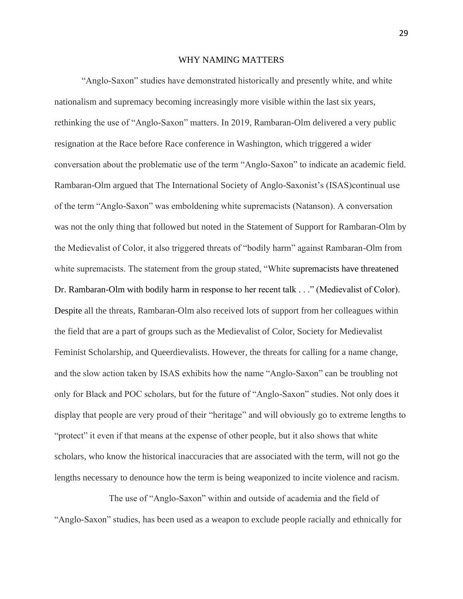#### WHY NAMING MATTERS

"Anglo-Saxon" studies have demonstrated historically and presently white, and white nationalism and supremacy becoming increasingly more visible within the last six years, rethinking the use of "Anglo-Saxon" matters. In 2019, Rambaran-Olm delivered a very public resignation at the Race before Race conference in Washington, which triggered a wider conversation about the problematic use of the term "Anglo-Saxon" to indicate an academic field. Rambaran-Olm argued that The International Society of Anglo-Saxonist's (ISAS)continual use of the term "Anglo-Saxon" was emboldening white supremacists (Natanson). A conversation was not the only thing that followed but noted in the Statement of Support for Rambaran-Olm by the Medievalist of Color, it also triggered threats of "bodily harm" against Rambaran-Olm from white supremacists. The statement from the group stated, "White supremacists have threatened Dr. Rambaran-Olm with bodily harm in response to her recent talk . . ." (Medievalist of Color). Despite all the threats, Rambaran-Olm also received lots of support from her colleagues within the field that are a part of groups such as the Medievalist of Color, Society for Medievalist Feminist Scholarship, and Queerdievalists. However, the threats for calling for a name change, and the slow action taken by ISAS exhibits how the name "Anglo-Saxon" can be troubling not only for Black and POC scholars, but for the future of "Anglo-Saxon" studies. Not only does it display that people are very proud of their "heritage" and will obviously go to extreme lengths to "protect" it even if that means at the expense of other people, but it also shows that white scholars, who know the historical inaccuracies that are associated with the term, will not go the lengths necessary to denounce how the term is being weaponized to incite violence and racism.

The use of "Anglo-Saxon" within and outside of academia and the field of "Anglo-Saxon" studies, has been used as a weapon to exclude people racially and ethnically for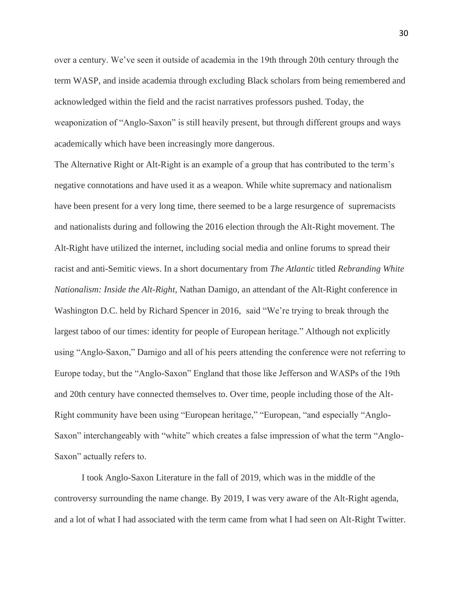over a century. We've seen it outside of academia in the 19th through 20th century through the term WASP, and inside academia through excluding Black scholars from being remembered and acknowledged within the field and the racist narratives professors pushed. Today, the weaponization of "Anglo-Saxon" is still heavily present, but through different groups and ways academically which have been increasingly more dangerous.

The Alternative Right or Alt-Right is an example of a group that has contributed to the term's negative connotations and have used it as a weapon. While white supremacy and nationalism have been present for a very long time, there seemed to be a large resurgence of supremacists and nationalists during and following the 2016 election through the Alt-Right movement. The Alt-Right have utilized the internet, including social media and online forums to spread their racist and anti-Semitic views. In a short documentary from *The Atlantic* titled *Rebranding White Nationalism: Inside the Alt-Right,* Nathan Damigo, an attendant of the Alt-Right conference in Washington D.C. held by Richard Spencer in 2016, said "We're trying to break through the largest taboo of our times: identity for people of European heritage." Although not explicitly using "Anglo-Saxon," Damigo and all of his peers attending the conference were not referring to Europe today, but the "Anglo-Saxon" England that those like Jefferson and WASPs of the 19th and 20th century have connected themselves to. Over time, people including those of the Alt-Right community have been using "European heritage," "European, "and especially "Anglo-Saxon" interchangeably with "white" which creates a false impression of what the term "Anglo-Saxon" actually refers to.

I took Anglo-Saxon Literature in the fall of 2019, which was in the middle of the controversy surrounding the name change. By 2019, I was very aware of the Alt-Right agenda, and a lot of what I had associated with the term came from what I had seen on Alt-Right Twitter.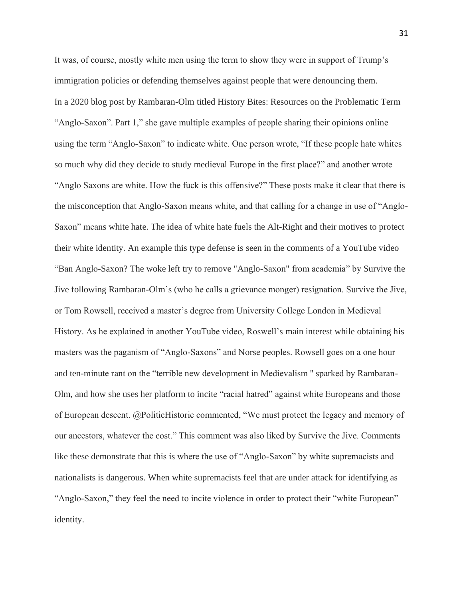It was, of course, mostly white men using the term to show they were in support of Trump's immigration policies or defending themselves against people that were denouncing them. In a 2020 blog post by Rambaran-Olm titled History Bites: Resources on the Problematic Term "Anglo-Saxon". Part 1," she gave multiple examples of people sharing their opinions online using the term "Anglo-Saxon" to indicate white. One person wrote, "If these people hate whites so much why did they decide to study medieval Europe in the first place?" and another wrote "Anglo Saxons are white. How the fuck is this offensive?" These posts make it clear that there is the misconception that Anglo-Saxon means white, and that calling for a change in use of "Anglo-Saxon" means white hate. The idea of white hate fuels the Alt-Right and their motives to protect their white identity. An example this type defense is seen in the comments of a YouTube video "Ban Anglo-Saxon? The woke left try to remove "Anglo-Saxon" from academia" by Survive the Jive following Rambaran-Olm's (who he calls a grievance monger) resignation. Survive the Jive, or Tom Rowsell, received a master's degree from University College London in Medieval History. As he explained in another YouTube video, Roswell's main interest while obtaining his masters was the paganism of "Anglo-Saxons" and Norse peoples. Rowsell goes on a one hour and ten-minute rant on the "terrible new development in Medievalism '' sparked by Rambaran-Olm, and how she uses her platform to incite "racial hatred" against white Europeans and those of European descent. @PoliticHistoric commented, "We must protect the legacy and memory of our ancestors, whatever the cost." This comment was also liked by Survive the Jive. Comments like these demonstrate that this is where the use of "Anglo-Saxon" by white supremacists and nationalists is dangerous. When white supremacists feel that are under attack for identifying as "Anglo-Saxon," they feel the need to incite violence in order to protect their "white European" identity.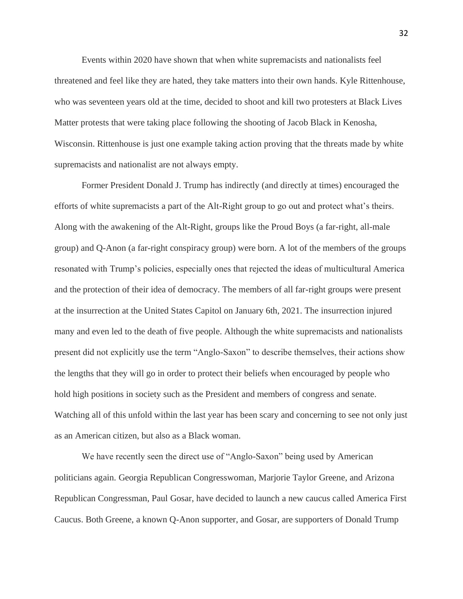Events within 2020 have shown that when white supremacists and nationalists feel threatened and feel like they are hated, they take matters into their own hands. Kyle Rittenhouse, who was seventeen years old at the time, decided to shoot and kill two protesters at Black Lives Matter protests that were taking place following the shooting of Jacob Black in Kenosha, Wisconsin. Rittenhouse is just one example taking action proving that the threats made by white supremacists and nationalist are not always empty.

Former President Donald J. Trump has indirectly (and directly at times) encouraged the efforts of white supremacists a part of the Alt-Right group to go out and protect what's theirs. Along with the awakening of the Alt-Right, groups like the Proud Boys (a far-right, all-male group) and Q-Anon (a far-right conspiracy group) were born. A lot of the members of the groups resonated with Trump's policies, especially ones that rejected the ideas of multicultural America and the protection of their idea of democracy. The members of all far-right groups were present at the insurrection at the United States Capitol on January 6th, 2021. The insurrection injured many and even led to the death of five people. Although the white supremacists and nationalists present did not explicitly use the term "Anglo-Saxon" to describe themselves, their actions show the lengths that they will go in order to protect their beliefs when encouraged by people who hold high positions in society such as the President and members of congress and senate. Watching all of this unfold within the last year has been scary and concerning to see not only just as an American citizen, but also as a Black woman.

We have recently seen the direct use of "Anglo-Saxon" being used by American politicians again. Georgia Republican Congresswoman, Marjorie Taylor Greene, and Arizona Republican Congressman, Paul Gosar, have decided to launch a new caucus called America First Caucus. Both Greene, a known Q-Anon supporter, and Gosar, are supporters of Donald Trump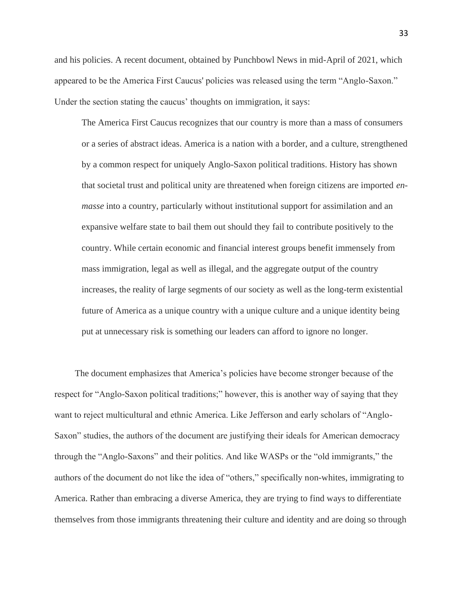and his policies. A recent document, obtained by Punchbowl News in mid-April of 2021, which appeared to be the America First Caucus' policies was released using the term "Anglo-Saxon." Under the section stating the caucus' thoughts on immigration, it says:

The America First Caucus recognizes that our country is more than a mass of consumers or a series of abstract ideas. America is a nation with a border, and a culture, strengthened by a common respect for uniquely Anglo-Saxon political traditions. History has shown that societal trust and political unity are threatened when foreign citizens are imported *enmasse* into a country, particularly without institutional support for assimilation and an expansive welfare state to bail them out should they fail to contribute positively to the country. While certain economic and financial interest groups benefit immensely from mass immigration, legal as well as illegal, and the aggregate output of the country increases, the reality of large segments of our society as well as the long-term existential future of America as a unique country with a unique culture and a unique identity being put at unnecessary risk is something our leaders can afford to ignore no longer.

 The document emphasizes that America's policies have become stronger because of the respect for "Anglo-Saxon political traditions;" however, this is another way of saying that they want to reject multicultural and ethnic America. Like Jefferson and early scholars of "Anglo-Saxon" studies, the authors of the document are justifying their ideals for American democracy through the "Anglo-Saxons" and their politics. And like WASPs or the "old immigrants," the authors of the document do not like the idea of "others," specifically non-whites, immigrating to America. Rather than embracing a diverse America, they are trying to find ways to differentiate themselves from those immigrants threatening their culture and identity and are doing so through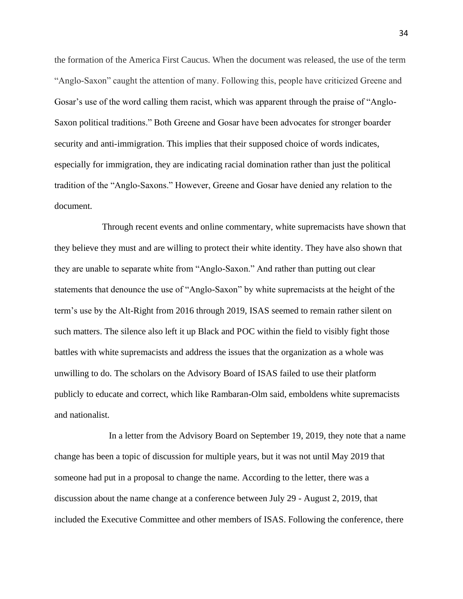the formation of the America First Caucus. When the document was released, the use of the term "Anglo-Saxon" caught the attention of many. Following this, people have criticized Greene and Gosar's use of the word calling them racist, which was apparent through the praise of "Anglo-Saxon political traditions." Both Greene and Gosar have been advocates for stronger boarder security and anti-immigration. This implies that their supposed choice of words indicates, especially for immigration, they are indicating racial domination rather than just the political tradition of the "Anglo-Saxons." However, Greene and Gosar have denied any relation to the document.

 Through recent events and online commentary, white supremacists have shown that they believe they must and are willing to protect their white identity. They have also shown that they are unable to separate white from "Anglo-Saxon." And rather than putting out clear statements that denounce the use of "Anglo-Saxon" by white supremacists at the height of the term's use by the Alt-Right from 2016 through 2019, ISAS seemed to remain rather silent on such matters. The silence also left it up Black and POC within the field to visibly fight those battles with white supremacists and address the issues that the organization as a whole was unwilling to do. The scholars on the Advisory Board of ISAS failed to use their platform publicly to educate and correct, which like Rambaran-Olm said, emboldens white supremacists and nationalist.

In a letter from the Advisory Board on September 19, 2019, they note that a name change has been a topic of discussion for multiple years, but it was not until May 2019 that someone had put in a proposal to change the name. According to the letter, there was a discussion about the name change at a conference between July 29 - August 2, 2019, that included the Executive Committee and other members of ISAS. Following the conference, there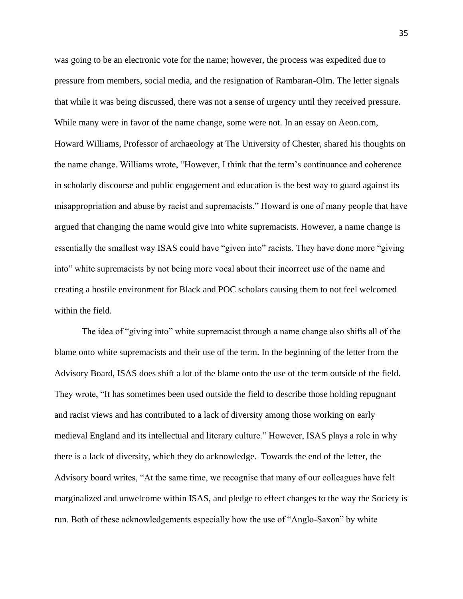was going to be an electronic vote for the name; however, the process was expedited due to pressure from members, social media, and the resignation of Rambaran-Olm. The letter signals that while it was being discussed, there was not a sense of urgency until they received pressure. While many were in favor of the name change, some were not. In an essay on Aeon.com, Howard Williams, Professor of archaeology at The University of Chester, shared his thoughts on the name change. Williams wrote, "However, I think that the term's continuance and coherence in scholarly discourse and public engagement and education is the best way to guard against its misappropriation and abuse by racist and supremacists." Howard is one of many people that have argued that changing the name would give into white supremacists. However, a name change is essentially the smallest way ISAS could have "given into" racists. They have done more "giving into" white supremacists by not being more vocal about their incorrect use of the name and creating a hostile environment for Black and POC scholars causing them to not feel welcomed within the field.

The idea of "giving into" white supremacist through a name change also shifts all of the blame onto white supremacists and their use of the term. In the beginning of the letter from the Advisory Board, ISAS does shift a lot of the blame onto the use of the term outside of the field. They wrote, "It has sometimes been used outside the field to describe those holding repugnant and racist views and has contributed to a lack of diversity among those working on early medieval England and its intellectual and literary culture." However, ISAS plays a role in why there is a lack of diversity, which they do acknowledge. Towards the end of the letter, the Advisory board writes, "At the same time, we recognise that many of our colleagues have felt marginalized and unwelcome within ISAS, and pledge to effect changes to the way the Society is run. Both of these acknowledgements especially how the use of "Anglo-Saxon" by white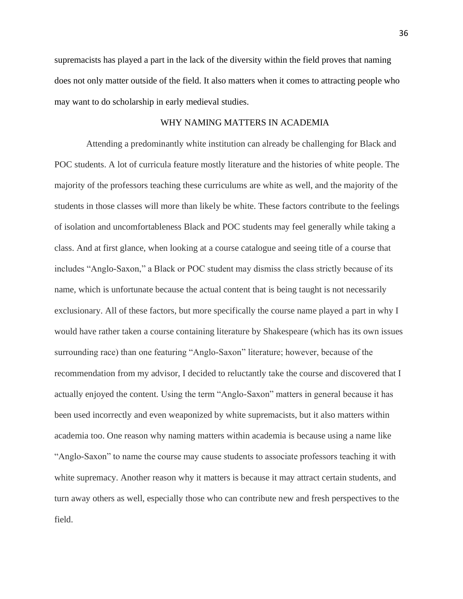supremacists has played a part in the lack of the diversity within the field proves that naming does not only matter outside of the field. It also matters when it comes to attracting people who may want to do scholarship in early medieval studies.

### WHY NAMING MATTERS IN ACADEMIA

Attending a predominantly white institution can already be challenging for Black and POC students. A lot of curricula feature mostly literature and the histories of white people. The majority of the professors teaching these curriculums are white as well, and the majority of the students in those classes will more than likely be white. These factors contribute to the feelings of isolation and uncomfortableness Black and POC students may feel generally while taking a class. And at first glance, when looking at a course catalogue and seeing title of a course that includes "Anglo-Saxon," a Black or POC student may dismiss the class strictly because of its name, which is unfortunate because the actual content that is being taught is not necessarily exclusionary. All of these factors, but more specifically the course name played a part in why I would have rather taken a course containing literature by Shakespeare (which has its own issues surrounding race) than one featuring "Anglo-Saxon" literature; however, because of the recommendation from my advisor, I decided to reluctantly take the course and discovered that I actually enjoyed the content. Using the term "Anglo-Saxon" matters in general because it has been used incorrectly and even weaponized by white supremacists, but it also matters within academia too. One reason why naming matters within academia is because using a name like "Anglo-Saxon" to name the course may cause students to associate professors teaching it with white supremacy. Another reason why it matters is because it may attract certain students, and turn away others as well, especially those who can contribute new and fresh perspectives to the field.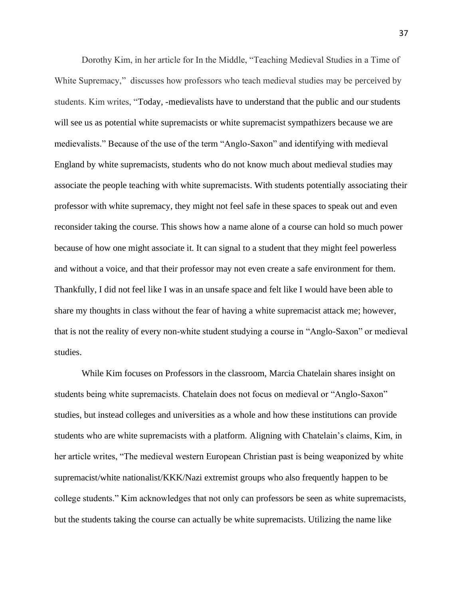Dorothy Kim, in her article for In the Middle, "Teaching Medieval Studies in a Time of White Supremacy," discusses how professors who teach medieval studies may be perceived by students. Kim writes, "Today, -medievalists have to understand that the public and our students will see us as potential white supremacists or white supremacist sympathizers because we are medievalists." Because of the use of the term "Anglo-Saxon" and identifying with medieval England by white supremacists, students who do not know much about medieval studies may associate the people teaching with white supremacists. With students potentially associating their professor with white supremacy, they might not feel safe in these spaces to speak out and even reconsider taking the course. This shows how a name alone of a course can hold so much power because of how one might associate it. It can signal to a student that they might feel powerless and without a voice, and that their professor may not even create a safe environment for them. Thankfully, I did not feel like I was in an unsafe space and felt like I would have been able to share my thoughts in class without the fear of having a white supremacist attack me; however, that is not the reality of every non-white student studying a course in "Anglo-Saxon" or medieval studies.

While Kim focuses on Professors in the classroom, Marcia Chatelain shares insight on students being white supremacists. Chatelain does not focus on medieval or "Anglo-Saxon" studies, but instead colleges and universities as a whole and how these institutions can provide students who are white supremacists with a platform. Aligning with Chatelain's claims, Kim, in her article writes, "The medieval western European Christian past is being weaponized by white supremacist/white nationalist/KKK/Nazi extremist groups who also frequently happen to be college students." Kim acknowledges that not only can professors be seen as white supremacists, but the students taking the course can actually be white supremacists. Utilizing the name like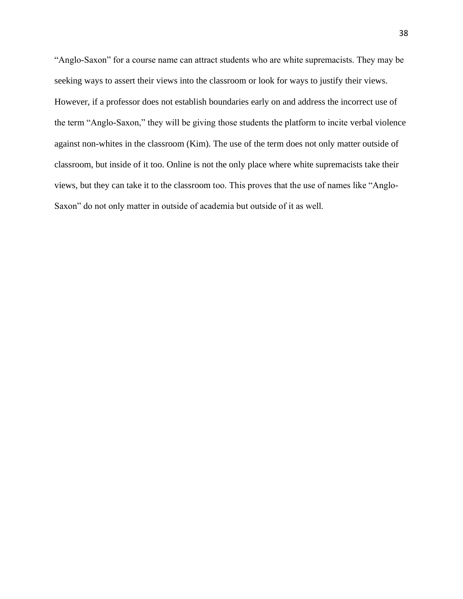"Anglo-Saxon" for a course name can attract students who are white supremacists. They may be seeking ways to assert their views into the classroom or look for ways to justify their views. However, if a professor does not establish boundaries early on and address the incorrect use of the term "Anglo-Saxon," they will be giving those students the platform to incite verbal violence against non-whites in the classroom (Kim). The use of the term does not only matter outside of classroom, but inside of it too. Online is not the only place where white supremacists take their views, but they can take it to the classroom too. This proves that the use of names like "Anglo-Saxon" do not only matter in outside of academia but outside of it as well.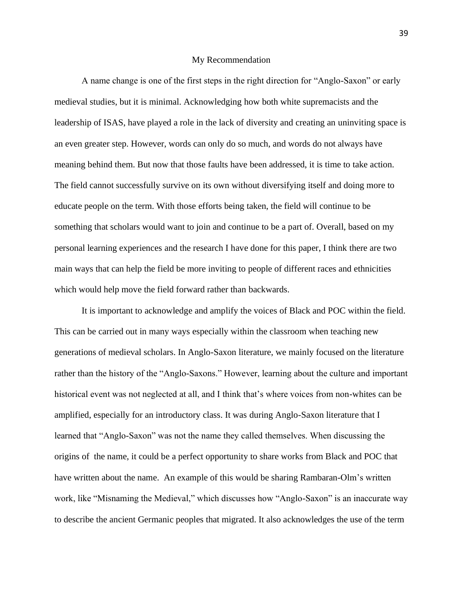#### My Recommendation

A name change is one of the first steps in the right direction for "Anglo-Saxon" or early medieval studies, but it is minimal. Acknowledging how both white supremacists and the leadership of ISAS, have played a role in the lack of diversity and creating an uninviting space is an even greater step. However, words can only do so much, and words do not always have meaning behind them. But now that those faults have been addressed, it is time to take action. The field cannot successfully survive on its own without diversifying itself and doing more to educate people on the term. With those efforts being taken, the field will continue to be something that scholars would want to join and continue to be a part of. Overall, based on my personal learning experiences and the research I have done for this paper, I think there are two main ways that can help the field be more inviting to people of different races and ethnicities which would help move the field forward rather than backwards.

It is important to acknowledge and amplify the voices of Black and POC within the field. This can be carried out in many ways especially within the classroom when teaching new generations of medieval scholars. In Anglo-Saxon literature, we mainly focused on the literature rather than the history of the "Anglo-Saxons." However, learning about the culture and important historical event was not neglected at all, and I think that's where voices from non-whites can be amplified, especially for an introductory class. It was during Anglo-Saxon literature that I learned that "Anglo-Saxon" was not the name they called themselves. When discussing the origins of the name, it could be a perfect opportunity to share works from Black and POC that have written about the name. An example of this would be sharing Rambaran-Olm's written work, like "Misnaming the Medieval," which discusses how "Anglo-Saxon" is an inaccurate way to describe the ancient Germanic peoples that migrated. It also acknowledges the use of the term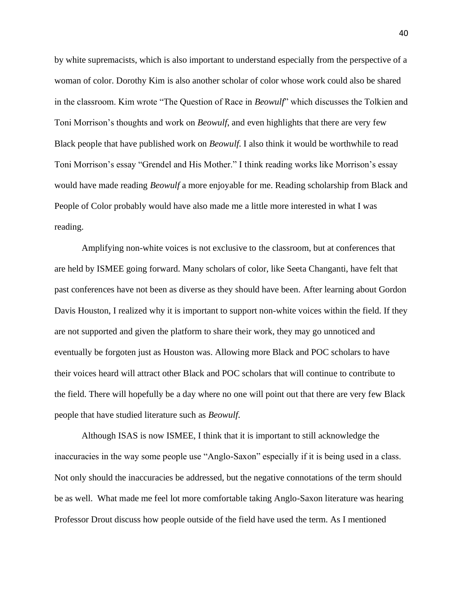by white supremacists, which is also important to understand especially from the perspective of a woman of color. Dorothy Kim is also another scholar of color whose work could also be shared in the classroom. Kim wrote "The Question of Race in *Beowulf*" which discusses the Tolkien and Toni Morrison's thoughts and work on *Beowulf*, and even highlights that there are very few Black people that have published work on *Beowulf*. I also think it would be worthwhile to read Toni Morrison's essay "Grendel and His Mother." I think reading works like Morrison's essay would have made reading *Beowulf* a more enjoyable for me. Reading scholarship from Black and People of Color probably would have also made me a little more interested in what I was reading.

Amplifying non-white voices is not exclusive to the classroom, but at conferences that are held by ISMEE going forward. Many scholars of color, like Seeta Changanti, have felt that past conferences have not been as diverse as they should have been. After learning about Gordon Davis Houston, I realized why it is important to support non-white voices within the field. If they are not supported and given the platform to share their work, they may go unnoticed and eventually be forgoten just as Houston was. Allowing more Black and POC scholars to have their voices heard will attract other Black and POC scholars that will continue to contribute to the field. There will hopefully be a day where no one will point out that there are very few Black people that have studied literature such as *Beowulf*.

Although ISAS is now ISMEE, I think that it is important to still acknowledge the inaccuracies in the way some people use "Anglo-Saxon" especially if it is being used in a class. Not only should the inaccuracies be addressed, but the negative connotations of the term should be as well. What made me feel lot more comfortable taking Anglo-Saxon literature was hearing Professor Drout discuss how people outside of the field have used the term. As I mentioned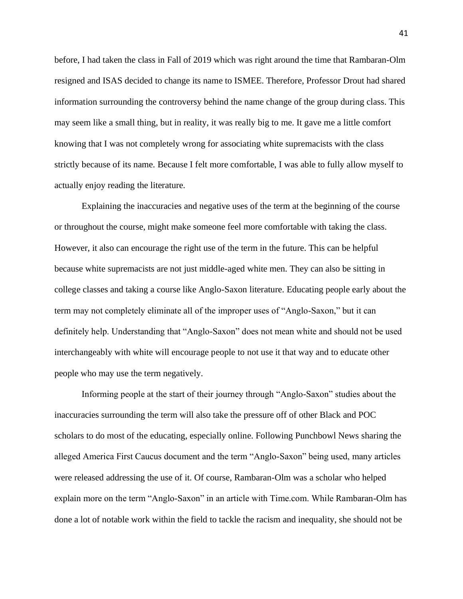before, I had taken the class in Fall of 2019 which was right around the time that Rambaran-Olm resigned and ISAS decided to change its name to ISMEE. Therefore, Professor Drout had shared information surrounding the controversy behind the name change of the group during class. This may seem like a small thing, but in reality, it was really big to me. It gave me a little comfort knowing that I was not completely wrong for associating white supremacists with the class strictly because of its name. Because I felt more comfortable, I was able to fully allow myself to actually enjoy reading the literature.

Explaining the inaccuracies and negative uses of the term at the beginning of the course or throughout the course, might make someone feel more comfortable with taking the class. However, it also can encourage the right use of the term in the future. This can be helpful because white supremacists are not just middle-aged white men. They can also be sitting in college classes and taking a course like Anglo-Saxon literature. Educating people early about the term may not completely eliminate all of the improper uses of "Anglo-Saxon," but it can definitely help. Understanding that "Anglo-Saxon" does not mean white and should not be used interchangeably with white will encourage people to not use it that way and to educate other people who may use the term negatively.

Informing people at the start of their journey through "Anglo-Saxon" studies about the inaccuracies surrounding the term will also take the pressure off of other Black and POC scholars to do most of the educating, especially online. Following Punchbowl News sharing the alleged America First Caucus document and the term "Anglo-Saxon" being used, many articles were released addressing the use of it. Of course, Rambaran-Olm was a scholar who helped explain more on the term "Anglo-Saxon" in an article with Time.com. While Rambaran-Olm has done a lot of notable work within the field to tackle the racism and inequality, she should not be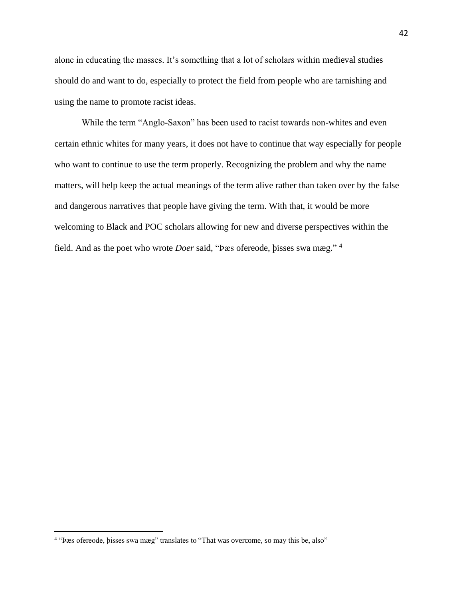alone in educating the masses. It's something that a lot of scholars within medieval studies should do and want to do, especially to protect the field from people who are tarnishing and using the name to promote racist ideas.

While the term "Anglo-Saxon" has been used to racist towards non-whites and even certain ethnic whites for many years, it does not have to continue that way especially for people who want to continue to use the term properly. Recognizing the problem and why the name matters, will help keep the actual meanings of the term alive rather than taken over by the false and dangerous narratives that people have giving the term. With that, it would be more welcoming to Black and POC scholars allowing for new and diverse perspectives within the field. And as the poet who wrote *Doer* said, "Þæs ofereode, þisses swa mæg." <sup>4</sup>

<sup>4</sup> "Þæs ofereode, þisses swa mæg" translates to "That was overcome, so may this be, also"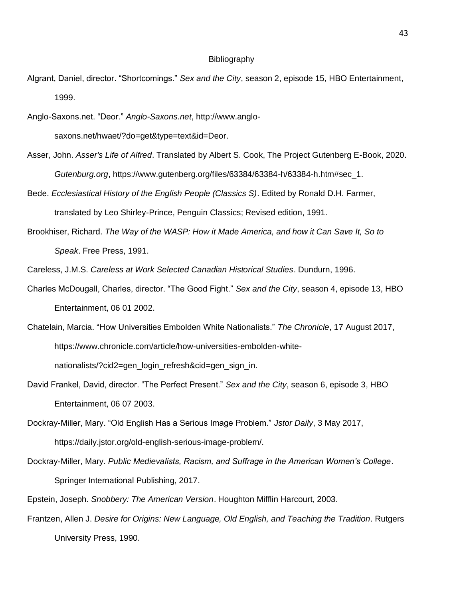#### Bibliography

- Algrant, Daniel, director. "Shortcomings." *Sex and the City*, season 2, episode 15, HBO Entertainment, 1999.
- Anglo-Saxons.net. "Deor." *Anglo-Saxons.net*, http://www.anglosaxons.net/hwaet/?do=get&type=text&id=Deor.
- Asser, John. *Asser's Life of Alfred*. Translated by Albert S. Cook, The Project Gutenberg E-Book, 2020. *Gutenburg.org*, https://www.gutenberg.org/files/63384/63384-h/63384-h.htm#sec\_1.
- Bede. *Ecclesiastical History of the English People (Classics S)*. Edited by Ronald D.H. Farmer, translated by Leo Shirley-Prince, Penguin Classics; Revised edition, 1991.
- Brookhiser, Richard. *The Way of the WASP: How it Made America, and how it Can Save It, So to Speak*. Free Press, 1991.
- Careless, J.M.S. *Careless at Work Selected Canadian Historical Studies*. Dundurn, 1996.
- Charles McDougall, Charles, director. "The Good Fight." *Sex and the City*, season 4, episode 13, HBO Entertainment, 06 01 2002.
- Chatelain, Marcia. "How Universities Embolden White Nationalists." *The Chronicle*, 17 August 2017, https://www.chronicle.com/article/how-universities-embolden-whitenationalists/?cid2=gen\_login\_refresh&cid=gen\_sign\_in.
- David Frankel, David, director. "The Perfect Present." *Sex and the City*, season 6, episode 3, HBO Entertainment, 06 07 2003.
- Dockray-Miller, Mary. "Old English Has a Serious Image Problem." *Jstor Daily*, 3 May 2017, https://daily.jstor.org/old-english-serious-image-problem/.
- Dockray-Miller, Mary. *Public Medievalists, Racism, and Suffrage in the American Women's College*. Springer International Publishing, 2017.
- Epstein, Joseph. *Snobbery: The American Version*. Houghton Mifflin Harcourt, 2003.
- Frantzen, Allen J. *Desire for Origins: New Language, Old English, and Teaching the Tradition*. Rutgers University Press, 1990.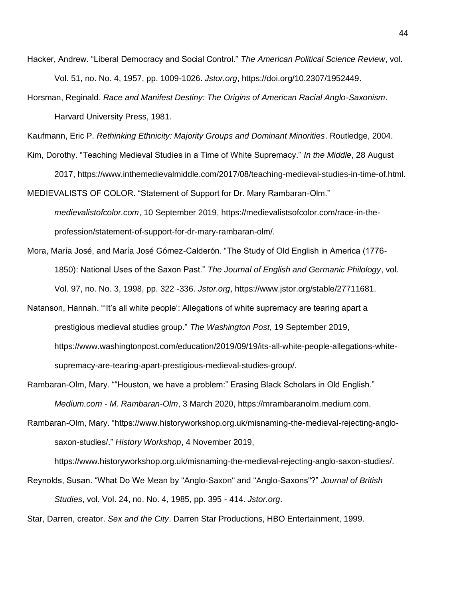- Hacker, Andrew. "Liberal Democracy and Social Control." *The American Political Science Review*, vol. Vol. 51, no. No. 4, 1957, pp. 1009-1026. *Jstor.org*, https://doi.org/10.2307/1952449.
- Horsman, Reginald. *Race and Manifest Destiny: The Origins of American Racial Anglo-Saxonism*. Harvard University Press, 1981.

Kaufmann, Eric P. *Rethinking Ethnicity: Majority Groups and Dominant Minorities*. Routledge, 2004.

Kim, Dorothy. "Teaching Medieval Studies in a Time of White Supremacy." *In the Middle*, 28 August

2017, https://www.inthemedievalmiddle.com/2017/08/teaching-medieval-studies-in-time-of.html. MEDIEVALISTS OF COLOR. "Statement of Support for Dr. Mary Rambaran-Olm."

*medievalistofcolor.com*, 10 September 2019, https://medievalistsofcolor.com/race-in-theprofession/statement-of-support-for-dr-mary-rambaran-olm/.

- Mora, María José, and María José Gómez-Calderón. "The Study of Old English in America (1776- 1850): National Uses of the Saxon Past." *The Journal of English and Germanic Philology*, vol. Vol. 97, no. No. 3, 1998, pp. 322 -336. *Jstor.org*, https://www.jstor.org/stable/27711681.
- Natanson, Hannah. "'It's all white people': Allegations of white supremacy are tearing apart a prestigious medieval studies group." *The Washington Post*, 19 September 2019, https://www.washingtonpost.com/education/2019/09/19/its-all-white-people-allegations-whitesupremacy-are-tearing-apart-prestigious-medieval-studies-group/.
- Rambaran-Olm, Mary. ""Houston, we have a problem:" Erasing Black Scholars in Old English." *Medium.com - M. Rambaran-Olm*, 3 March 2020, https://mrambaranolm.medium.com.
- Rambaran-Olm, Mary. "https://www.historyworkshop.org.uk/misnaming-the-medieval-rejecting-anglosaxon-studies/." *History Workshop*, 4 November 2019,

https://www.historyworkshop.org.uk/misnaming-the-medieval-rejecting-anglo-saxon-studies/.

Reynolds, Susan. "What Do We Mean by "Anglo-Saxon" and "Anglo-Saxons"?" *Journal of British Studies*, vol. Vol. 24, no. No. 4, 1985, pp. 395 - 414. *Jstor.org*.

Star, Darren, creator. *Sex and the City*. Darren Star Productions, HBO Entertainment, 1999.